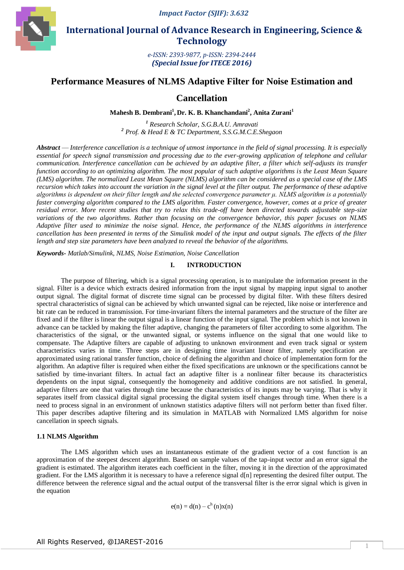

 **International Journal of Advance Research in Engineering, Science & Technology** 

> *e-ISSN: 2393-9877, p-ISSN: 2394-2444 (Special Issue for ITECE 2016)*

# **Performance Measures of NLMS Adaptive Filter for Noise Estimation and**

**Cancellation**

**Mahesh B. Dembrani<sup>1</sup> , Dr. K. B. Khanchandani<sup>2</sup> , Anita Zurani<sup>1</sup>**

*<sup>1</sup> Research Scholar, S.G.B.A.U. Amravati <sup>2</sup> Prof. & Head E & TC Department, S.S.G.M.C.E.Shegaon*

*Abstract* — *Interference cancellation is a technique of utmost importance in the field of signal processing. It is especially essential for speech signal transmission and processing due to the ever-growing application of telephone and cellular communication. Interference cancellation can be achieved by an adaptive filter, a filter which self-adjusts its transfer function according to an optimizing algorithm. The most popular of such adaptive algorithms is the Least Mean Square (LMS) algorithm. The normalized Least Mean Square (NLMS) algorithm can be considered as a special case of the LMS recursion which takes into account the variation in the signal level at the filter output. The performance of these adaptive algorithms is dependent on their filter length and the selected convergence parameter μ. NLMS algorithm is a potentially*  faster converging algorithm compared to the LMS algorithm. Faster convergence, however, comes at a price of greater *residual error. More recent studies that try to relax this trade-off have been directed towards adjustable step-size variations of the two algorithms. Rather than focusing on the convergence behavior, this paper focuses on NLMS Adaptive filter used to minimize the noise signal. Hence, the performance of the NLMS algorithms in interference cancellation has been presented in terms of the Simulink model of the input and output signals. The effects of the filter length and step size parameters have been analyzed to reveal the behavior of the algorithms.*

*Keywords- Matlab/Simulink, NLMS, Noise Estimation, Noise Cancellation*

#### **I. INTRODUCTION**

The purpose of filtering, which is a signal processing operation, is to manipulate the information present in the signal. Filter is a device which extracts desired information from the input signal by mapping input signal to another output signal. The digital format of discrete time signal can be processed by digital filter. With these filters desired spectral characteristics of signal can be achieved by which unwanted signal can be rejected, like noise or interference and bit rate can be reduced in transmission. For time-invariant filters the internal parameters and the structure of the filter are fixed and if the filter is linear the output signal is a linear function of the input signal. The problem which is not known in advance can be tackled by making the filter adaptive, changing the parameters of filter according to some algorithm. The characteristics of the signal, or the unwanted signal, or systems influence on the signal that one would like to compensate. The Adaptive filters are capable of adjusting to unknown environment and even track signal or system characteristics varies in time. Three steps are in designing time invariant linear filter, namely specification are approximated using rational transfer function, choice of defining the algorithm and choice of implementation form for the algorithm. An adaptive filter is required when either the fixed specifications are unknown or the specifications cannot be satisfied by time-invariant filters. In actual fact an adaptive filter is a nonlinear filter because its characteristics dependents on the input signal, consequently the homogeneity and additive conditions are not satisfied. In general, adaptive filters are one that varies through time because the characteristics of its inputs may be varying. That is why it separates itself from classical digital signal processing the digital system itself changes through time. When there is a need to process signal in an environment of unknown statistics adaptive filters will not perform better than fixed filter. This paper describes adaptive filtering and its simulation in MATLAB with Normalized LMS algorithm for noise cancellation in speech signals.

#### **1.1 NLMS Algorithm**

The LMS algorithm which uses an instantaneous estimate of the gradient vector of a cost function is an approximation of the steepest descent algorithm. Based on sample values of the tap-input vector and an error signal the gradient is estimated. The algorithm iterates each coefficient in the filter, moving it in the direction of the approximated gradient. For the LMS algorithm it is necessary to have a reference signal d[n] representing the desired filter output. The difference between the reference signal and the actual output of the transversal filter is the error signal which is given in the equation

 $e(n) = d(n) - c^{h}(n)x(n)$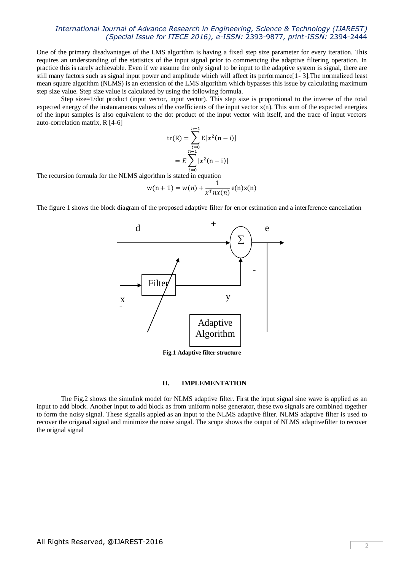## *International Journal of Advance Research in Engineering, Science & Technology (IJAREST) (Special Issue for ITECE 2016), e-ISSN:* 2393-9877*, print-ISSN:* 2394-2444

One of the primary disadvantages of the LMS algorithm is having a fixed step size parameter for every iteration. This requires an understanding of the statistics of the input signal prior to commencing the adaptive filtering operation. In practice this is rarely achievable. Even if we assume the only signal to be input to the adaptive system is signal, there are still many factors such as signal input power and amplitude which will affect its performance[1- 3].The normalized least mean square algorithm (NLMS) is an extension of the LMS algorithm which bypasses this issue by calculating maximum step size value. Step size value is calculated by using the following formula.

Step size=1/dot product (input vector, input vector). This step size is proportional to the inverse of the total expected energy of the instantaneous values of the coefficients of the input vector x(n). This sum of the expected energies of the input samples is also equivalent to the dot product of the input vector with itself, and the trace of input vectors auto-correlation matrix, R [4-6]

$$
\text{tr(R)} = \sum_{t=0}^{n-1} \text{E}[x^2(n-i)]
$$

$$
= E \sum_{t=0}^{n-1} [x^2(n-i)]
$$

The recursion formula for the NLMS algorithm is stated in equation

$$
w(n + 1) = w(n) + \frac{1}{x^T nx(n)} e(n)x(n)
$$

The figure 1 shows the block diagram of the proposed adaptive filter for error estimation and a interference cancellation



**Fig.1 Adaptive filter structure**

## **II. IMPLEMENTATION**

The Fig.2 shows the simulink model for NLMS adaptive filter. First the input signal sine wave is applied as an input to add block. Another input to add block as from uniform noise generator, these two signals are combined together to form the noisy signal. These signalis appled as an input to the NLMS adaptive filter. NLMS adaptive filter is used to recover the origanal signal and minimize the noise singal. The scope shows the output of NLMS adaptivefilter to recover the orignal signal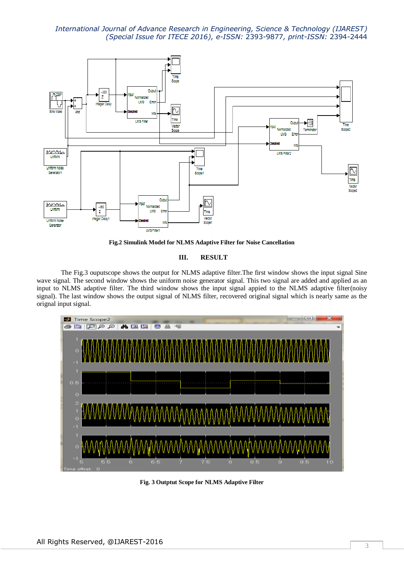*International Journal of Advance Research in Engineering, Science & Technology (IJAREST) (Special Issue for ITECE 2016), e-ISSN:* 2393-9877*, print-ISSN:* 2394-2444



**Fig.2 Simulink Model for NLMS Adaptive Filter for Noise Cancellation**

#### **III. RESULT**

The Fig.3 ouputscope shows the output for NLMS adaptive filter.The first window shows the input signal Sine wave signal. The second window shows the uniform noise generator signal. This two signal are added and applied as an input to NLMS adaptive filter. The third window shows the input signal appied to the NLMS adaptive filter(noisy signal). The last window shows the output signal of NLMS filter, recovered original signal which is nearly same as the orignal input signal.



**Fig. 3 Outptut Scope for NLMS Adaptive Filter**